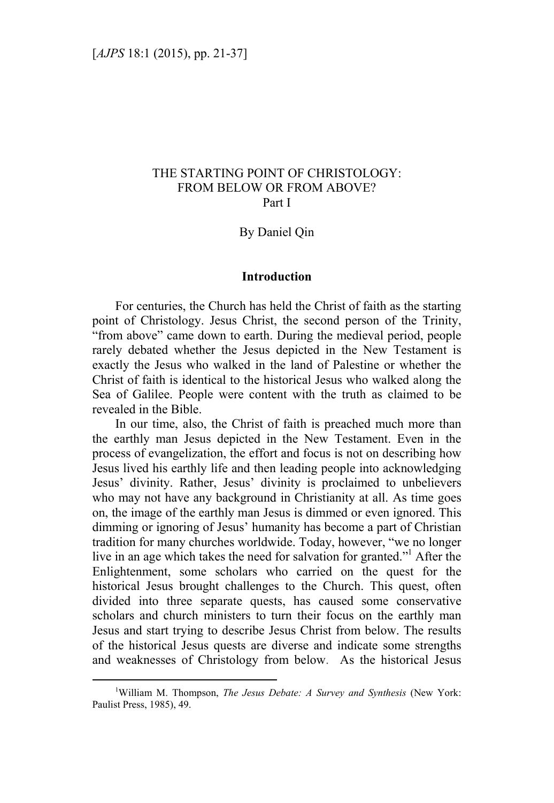# THE STARTING POINT OF CHRISTOLOGY: FROM BELOW OR FROM ABOVE? Part I

## By Daniel Qin

#### **Introduction**

For centuries, the Church has held the Christ of faith as the starting point of Christology. Jesus Christ, the second person of the Trinity, "from above" came down to earth. During the medieval period, people rarely debated whether the Jesus depicted in the New Testament is exactly the Jesus who walked in the land of Palestine or whether the Christ of faith is identical to the historical Jesus who walked along the Sea of Galilee. People were content with the truth as claimed to be revealed in the Bible.

In our time, also, the Christ of faith is preached much more than the earthly man Jesus depicted in the New Testament. Even in the process of evangelization, the effort and focus is not on describing how Jesus lived his earthly life and then leading people into acknowledging Jesus' divinity. Rather, Jesus' divinity is proclaimed to unbelievers who may not have any background in Christianity at all. As time goes on, the image of the earthly man Jesus is dimmed or even ignored. This dimming or ignoring of Jesus' humanity has become a part of Christian tradition for many churches worldwide. Today, however, "we no longer live in an age which takes the need for salvation for granted."<sup>1</sup> After the Enlightenment, some scholars who carried on the quest for the historical Jesus brought challenges to the Church. This quest, often divided into three separate quests, has caused some conservative scholars and church ministers to turn their focus on the earthly man Jesus and start trying to describe Jesus Christ from below. The results of the historical Jesus quests are diverse and indicate some strengths and weaknesses of Christology from below. As the historical Jesus

 $\frac{1}{1}$ William M. Thompson, *The Jesus Debate: A Survey and Synthesis* (New York: Paulist Press, 1985), 49.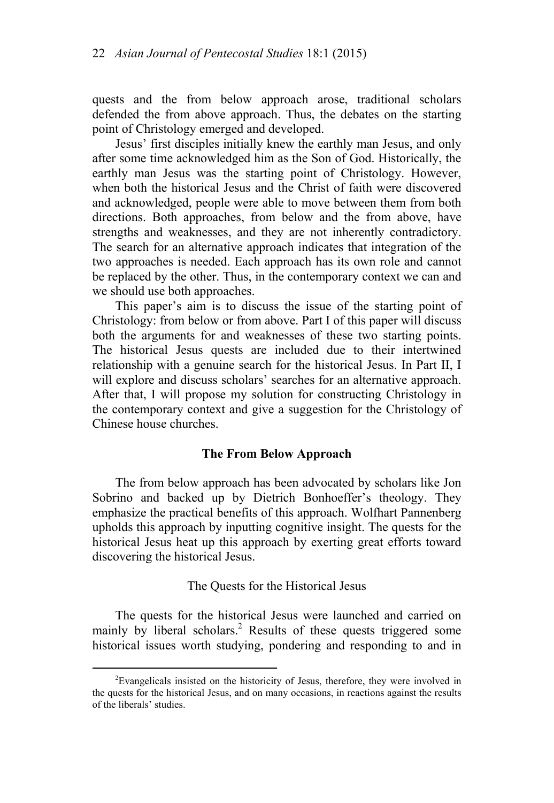quests and the from below approach arose, traditional scholars defended the from above approach. Thus, the debates on the starting point of Christology emerged and developed.

Jesus' first disciples initially knew the earthly man Jesus, and only after some time acknowledged him as the Son of God. Historically, the earthly man Jesus was the starting point of Christology. However, when both the historical Jesus and the Christ of faith were discovered and acknowledged, people were able to move between them from both directions. Both approaches, from below and the from above, have strengths and weaknesses, and they are not inherently contradictory. The search for an alternative approach indicates that integration of the two approaches is needed. Each approach has its own role and cannot be replaced by the other. Thus, in the contemporary context we can and we should use both approaches.

This paper's aim is to discuss the issue of the starting point of Christology: from below or from above. Part I of this paper will discuss both the arguments for and weaknesses of these two starting points. The historical Jesus quests are included due to their intertwined relationship with a genuine search for the historical Jesus. In Part II, I will explore and discuss scholars' searches for an alternative approach. After that, I will propose my solution for constructing Christology in the contemporary context and give a suggestion for the Christology of Chinese house churches.

## **The From Below Approach**

The from below approach has been advocated by scholars like Jon Sobrino and backed up by Dietrich Bonhoeffer's theology. They emphasize the practical benefits of this approach. Wolfhart Pannenberg upholds this approach by inputting cognitive insight. The quests for the historical Jesus heat up this approach by exerting great efforts toward discovering the historical Jesus.

### The Quests for the Historical Jesus

The quests for the historical Jesus were launched and carried on mainly by liberal scholars.<sup>2</sup> Results of these quests triggered some historical issues worth studying, pondering and responding to and in

 <sup>2</sup> <sup>2</sup>Evangelicals insisted on the historicity of Jesus, therefore, they were involved in the quests for the historical Jesus, and on many occasions, in reactions against the results of the liberals' studies.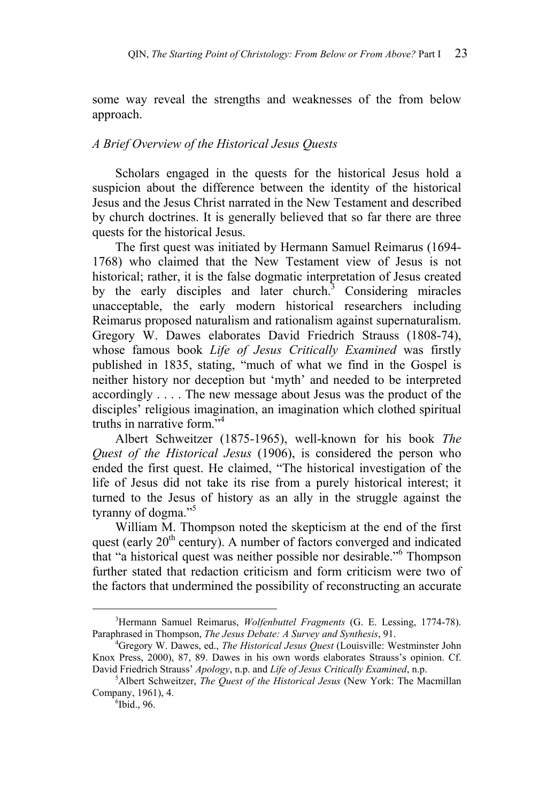some way reveal the strengths and weaknesses of the from below approach.

# *A Brief Overview of the Historical Jesus Quests*

Scholars engaged in the quests for the historical Jesus hold a suspicion about the difference between the identity of the historical Jesus and the Jesus Christ narrated in the New Testament and described by church doctrines. It is generally believed that so far there are three quests for the historical Jesus.

The first quest was initiated by Hermann Samuel Reimarus (1694- 1768) who claimed that the New Testament view of Jesus is not historical; rather, it is the false dogmatic interpretation of Jesus created by the early disciples and later church.<sup>3</sup> Considering miracles unacceptable, the early modern historical researchers including Reimarus proposed naturalism and rationalism against supernaturalism. Gregory W. Dawes elaborates David Friedrich Strauss (1808-74), whose famous book *Life of Jesus Critically Examined* was firstly published in 1835, stating, "much of what we find in the Gospel is neither history nor deception but 'myth' and needed to be interpreted accordingly . . . . The new message about Jesus was the product of the disciples' religious imagination, an imagination which clothed spiritual truths in narrative form."4

Albert Schweitzer (1875-1965), well-known for his book *The Quest of the Historical Jesus* (1906), is considered the person who ended the first quest. He claimed, "The historical investigation of the life of Jesus did not take its rise from a purely historical interest; it turned to the Jesus of history as an ally in the struggle against the tyranny of dogma."<sup>5</sup>

William M. Thompson noted the skepticism at the end of the first quest (early  $20<sup>th</sup>$  century). A number of factors converged and indicated that "a historical quest was neither possible nor desirable."6 Thompson further stated that redaction criticism and form criticism were two of the factors that undermined the possibility of reconstructing an accurate

 $\frac{1}{3}$ Hermann Samuel Reimarus, *Wolfenbuttel Fragments* (G. E. Lessing, 1774-78). Paraphrased in Thompson, *The Jesus Debate: A Survey and Synthesis*, 91. 4

Gregory W. Dawes, ed., *The Historical Jesus Quest* (Louisville: Westminster John Knox Press, 2000), 87, 89. Dawes in his own words elaborates Strauss's opinion. Cf. David Friedrich Strauss' *Apology*, n.p. and *Life of Jesus Critically Examined*, n.p. 5

Albert Schweitzer, *The Quest of the Historical Jesus* (New York: The Macmillan Company, 1961), 4.

 $6$ Ibid., 96.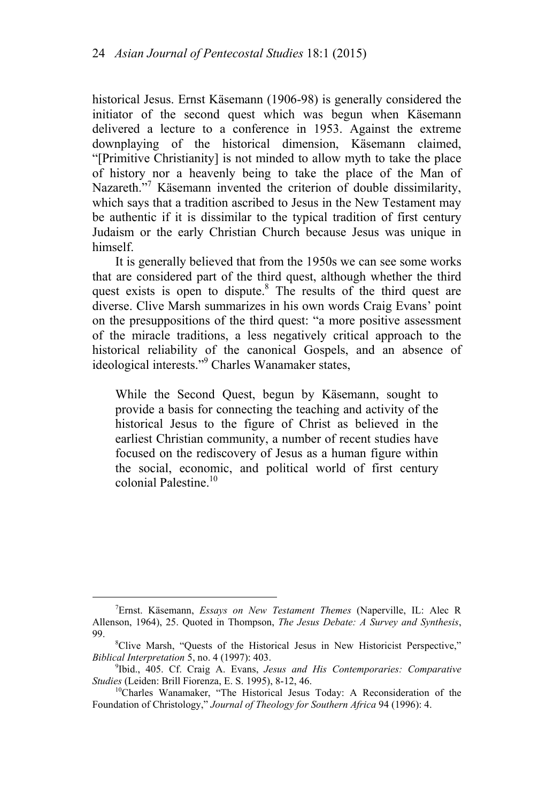historical Jesus. Ernst Käsemann (1906-98) is generally considered the initiator of the second quest which was begun when Käsemann delivered a lecture to a conference in 1953. Against the extreme downplaying of the historical dimension, Käsemann claimed, "[Primitive Christianity] is not minded to allow myth to take the place of history nor a heavenly being to take the place of the Man of Nazareth."<sup>7</sup> Käsemann invented the criterion of double dissimilarity, which says that a tradition ascribed to Jesus in the New Testament may be authentic if it is dissimilar to the typical tradition of first century Judaism or the early Christian Church because Jesus was unique in himself.

It is generally believed that from the 1950s we can see some works that are considered part of the third quest, although whether the third quest exists is open to dispute.<sup>8</sup> The results of the third quest are diverse. Clive Marsh summarizes in his own words Craig Evans' point on the presuppositions of the third quest: "a more positive assessment of the miracle traditions, a less negatively critical approach to the historical reliability of the canonical Gospels, and an absence of ideological interests."<sup>9</sup> Charles Wanamaker states,

While the Second Quest, begun by Käsemann, sought to provide a basis for connecting the teaching and activity of the historical Jesus to the figure of Christ as believed in the earliest Christian community, a number of recent studies have focused on the rediscovery of Jesus as a human figure within the social, economic, and political world of first century colonial Palestine.<sup>10</sup>

 $\frac{1}{7}$ Ernst. Käsemann, *Essays on New Testament Themes* (Naperville, IL: Alec R Allenson, 1964), 25. Quoted in Thompson, *The Jesus Debate: A Survey and Synthesis*, 99.

Clive Marsh, "Quests of the Historical Jesus in New Historicist Perspective," *Biblical Interpretation* 5, no. 4 (1997): 403.

<sup>&</sup>lt;sup>9</sup>Ibid., 405. Cf. Craig A. Evans, *Jesus and His Contemporaries: Comparative Studies* (Leiden: Brill Fiorenza, E. S. 1995), 8-12, 46.<br><sup>10</sup>Charles Wanamaker, "The Historical Jesus Today: A Reconsideration of the

Foundation of Christology," *Journal of Theology for Southern Africa* 94 (1996): 4.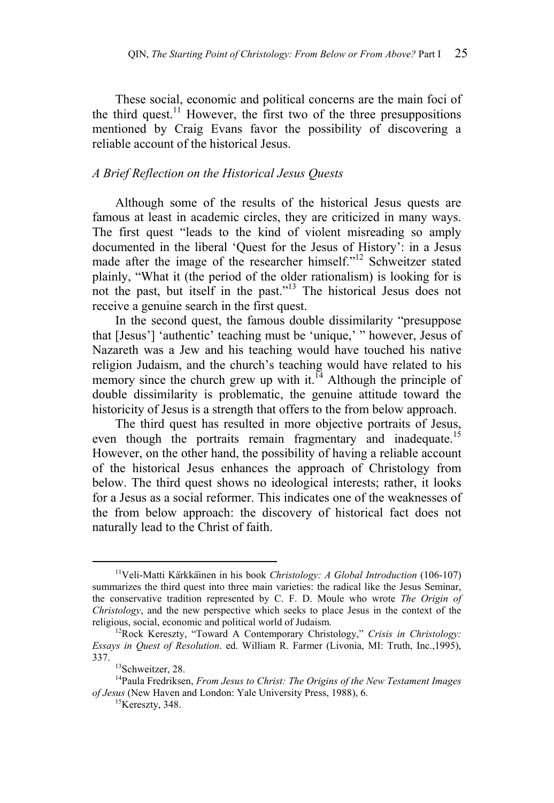These social, economic and political concerns are the main foci of the third quest.<sup>11</sup> However, the first two of the three presuppositions mentioned by Craig Evans favor the possibility of discovering a reliable account of the historical Jesus.

## *A Brief Reflection on the Historical Jesus Quests*

Although some of the results of the historical Jesus quests are famous at least in academic circles, they are criticized in many ways. The first quest "leads to the kind of violent misreading so amply documented in the liberal 'Quest for the Jesus of History': in a Jesus made after the image of the researcher himself."<sup>12</sup> Schweitzer stated plainly, "What it (the period of the older rationalism) is looking for is not the past, but itself in the past."13 The historical Jesus does not receive a genuine search in the first quest.

In the second quest, the famous double dissimilarity "presuppose that [Jesus'] 'authentic' teaching must be 'unique,' " however, Jesus of Nazareth was a Jew and his teaching would have touched his native religion Judaism, and the church's teaching would have related to his memory since the church grew up with it.<sup>14</sup> Although the principle of double dissimilarity is problematic, the genuine attitude toward the historicity of Jesus is a strength that offers to the from below approach.

The third quest has resulted in more objective portraits of Jesus, even though the portraits remain fragmentary and inadequate.<sup>15</sup> However, on the other hand, the possibility of having a reliable account of the historical Jesus enhances the approach of Christology from below. The third quest shows no ideological interests; rather, it looks for a Jesus as a social reformer. This indicates one of the weaknesses of the from below approach: the discovery of historical fact does not naturally lead to the Christ of faith.

<sup>&</sup>lt;sup>11</sup>Veli-Matti Kärkkäinen in his book *Christology: A Global Introduction* (106-107) summarizes the third quest into three main varieties: the radical like the Jesus Seminar, the conservative tradition represented by C. F. D. Moule who wrote *The Origin of Christology*, and the new perspective which seeks to place Jesus in the context of the

religious, social, economic and political world of Judaism.<br><sup>12</sup>Rock Kereszty, "Toward A Contemporary Christology," *Crisis in Christology: Essays in Quest of Resolution*. ed. William R. Farmer (Livonia, MI: Truth, Inc.,1995),

<sup>&</sup>lt;sup>13</sup>Schweitzer, 28.

<sup>&</sup>lt;sup>14</sup>Paula Fredriksen, *From Jesus to Christ: The Origins of the New Testament Images of Jesus* (New Haven and London: Yale University Press, 1988), 6. <sup>15</sup>Kereszty, 348.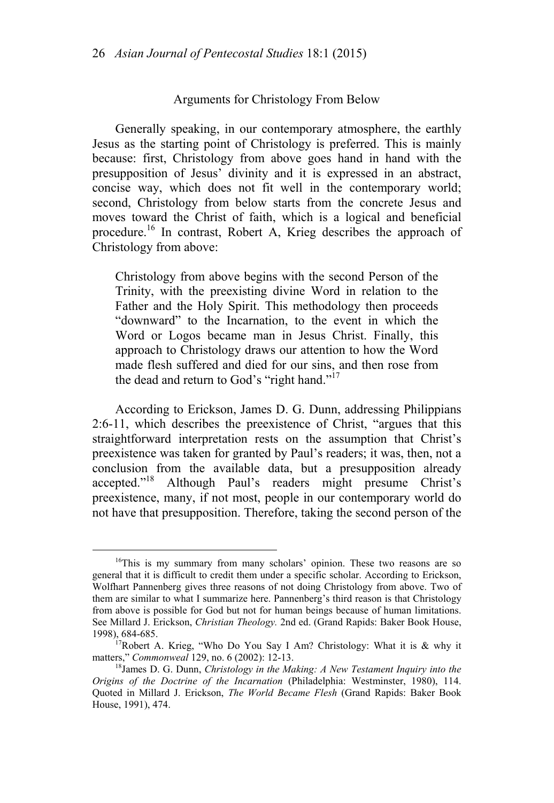#### Arguments for Christology From Below

Generally speaking, in our contemporary atmosphere, the earthly Jesus as the starting point of Christology is preferred. This is mainly because: first, Christology from above goes hand in hand with the presupposition of Jesus' divinity and it is expressed in an abstract, concise way, which does not fit well in the contemporary world; second, Christology from below starts from the concrete Jesus and moves toward the Christ of faith, which is a logical and beneficial procedure.<sup>16</sup> In contrast, Robert A, Krieg describes the approach of Christology from above:

Christology from above begins with the second Person of the Trinity, with the preexisting divine Word in relation to the Father and the Holy Spirit. This methodology then proceeds "downward" to the Incarnation, to the event in which the Word or Logos became man in Jesus Christ. Finally, this approach to Christology draws our attention to how the Word made flesh suffered and died for our sins, and then rose from the dead and return to God's "right hand."<sup>17</sup>

According to Erickson, James D. G. Dunn, addressing Philippians 2:6-11, which describes the preexistence of Christ, "argues that this straightforward interpretation rests on the assumption that Christ's preexistence was taken for granted by Paul's readers; it was, then, not a conclusion from the available data, but a presupposition already accepted."<sup>18</sup> Although Paul's readers might presume Christ's preexistence, many, if not most, people in our contemporary world do not have that presupposition. Therefore, taking the second person of the

<sup>&</sup>lt;sup>16</sup>This is my summary from many scholars' opinion. These two reasons are so general that it is difficult to credit them under a specific scholar. According to Erickson, Wolfhart Pannenberg gives three reasons of not doing Christology from above. Two of them are similar to what I summarize here. Pannenberg's third reason is that Christology from above is possible for God but not for human beings because of human limitations. See Millard J. Erickson, *Christian Theology.* 2nd ed. (Grand Rapids: Baker Book House,

<sup>1998), 684-685.&</sup>lt;br><sup>17</sup>Robert A. Krieg, "Who Do You Say I Am? Christology: What it is & why it matters." *Commonweal* 129, no. 6 (2002): 12-13.

<sup>&</sup>lt;sup>18</sup>James D. G. Dunn, *Christology in the Making: A New Testament Inquiry into the Origins of the Doctrine of the Incarnation* (Philadelphia: Westminster, 1980), 114. Quoted in Millard J. Erickson, *The World Became Flesh* (Grand Rapids: Baker Book House, 1991), 474.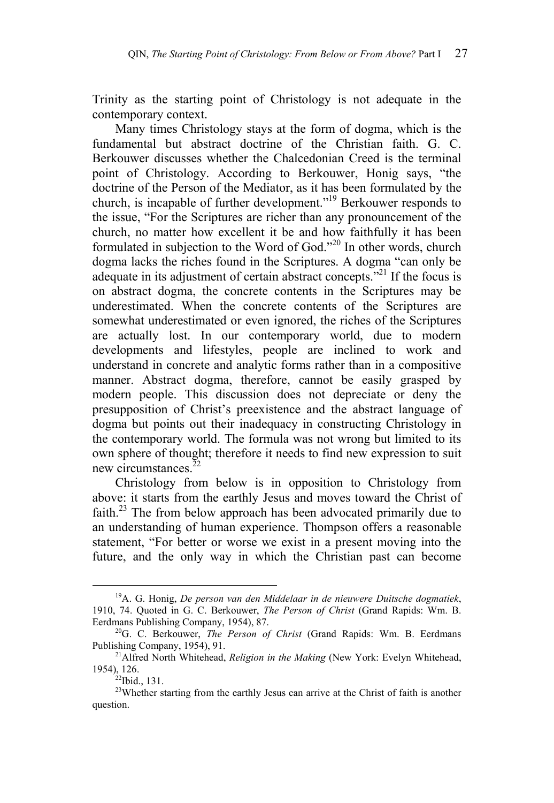Trinity as the starting point of Christology is not adequate in the contemporary context.

Many times Christology stays at the form of dogma, which is the fundamental but abstract doctrine of the Christian faith. G. C. Berkouwer discusses whether the Chalcedonian Creed is the terminal point of Christology. According to Berkouwer, Honig says, "the doctrine of the Person of the Mediator, as it has been formulated by the church, is incapable of further development."19 Berkouwer responds to the issue, "For the Scriptures are richer than any pronouncement of the church, no matter how excellent it be and how faithfully it has been formulated in subjection to the Word of God."20 In other words, church dogma lacks the riches found in the Scriptures. A dogma "can only be adequate in its adjustment of certain abstract concepts. $"^{21}$  If the focus is on abstract dogma, the concrete contents in the Scriptures may be underestimated. When the concrete contents of the Scriptures are somewhat underestimated or even ignored, the riches of the Scriptures are actually lost. In our contemporary world, due to modern developments and lifestyles, people are inclined to work and understand in concrete and analytic forms rather than in a compositive manner. Abstract dogma, therefore, cannot be easily grasped by modern people. This discussion does not depreciate or deny the presupposition of Christ's preexistence and the abstract language of dogma but points out their inadequacy in constructing Christology in the contemporary world. The formula was not wrong but limited to its own sphere of thought; therefore it needs to find new expression to suit new circumstances<sup>22</sup>

Christology from below is in opposition to Christology from above: it starts from the earthly Jesus and moves toward the Christ of faith.<sup>23</sup> The from below approach has been advocated primarily due to an understanding of human experience. Thompson offers a reasonable statement, "For better or worse we exist in a present moving into the future, and the only way in which the Christian past can become

 <sup>19</sup>A. G. Honig, *De person van den Middelaar in de nieuwere Duitsche dogmatiek*, 1910, 74. Quoted in G. C. Berkouwer, *The Person of Christ* (Grand Rapids: Wm. B.

<sup>&</sup>lt;sup>20</sup>G. C. Berkouwer, *The Person of Christ* (Grand Rapids: Wm. B. Eerdmans Publishing Company, 1954), 91.<br><sup>21</sup>Alfred North Whitehead, *Religion in the Making* (New York: Evelyn Whitehead,

<sup>1954), 126.&</sup>lt;br> $22$ Ibid., 131.

<sup>&</sup>lt;sup>23</sup>Whether starting from the earthly Jesus can arrive at the Christ of faith is another question.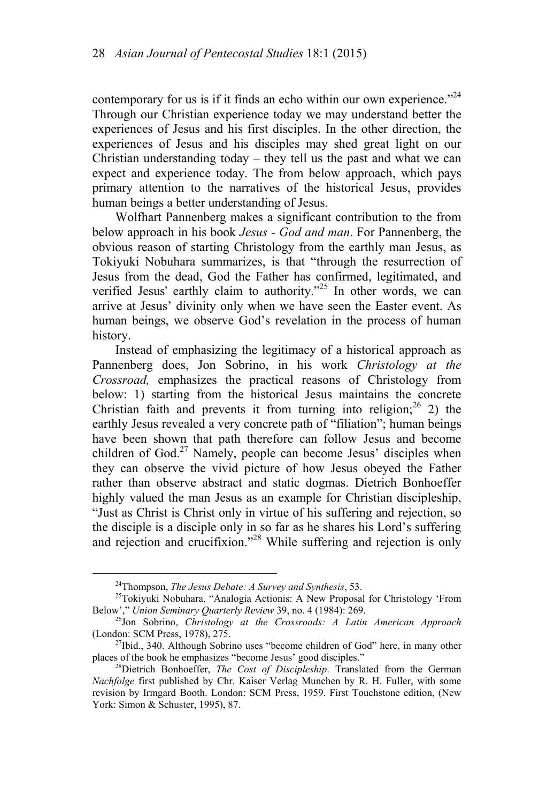contemporary for us is if it finds an echo within our own experience.<sup> $24$ </sup> Through our Christian experience today we may understand better the experiences of Jesus and his first disciples. In the other direction, the experiences of Jesus and his disciples may shed great light on our Christian understanding today  $-$  they tell us the past and what we can expect and experience today. The from below approach, which pays primary attention to the narratives of the historical Jesus, provides human beings a better understanding of Jesus.

Wolfhart Pannenberg makes a significant contribution to the from below approach in his book *Jesus - God and man*. For Pannenberg, the obvious reason of starting Christology from the earthly man Jesus, as Tokiyuki Nobuhara summarizes, is that "through the resurrection of Jesus from the dead, God the Father has confirmed, legitimated, and verified Jesus' earthly claim to authority."<sup>25</sup> In other words, we can arrive at Jesus' divinity only when we have seen the Easter event. As human beings, we observe God's revelation in the process of human history.

Instead of emphasizing the legitimacy of a historical approach as Pannenberg does, Jon Sobrino, in his work *Christology at the Crossroad,* emphasizes the practical reasons of Christology from below: 1) starting from the historical Jesus maintains the concrete Christian faith and prevents it from turning into religion;  $2^6$  2) the earthly Jesus revealed a very concrete path of "filiation"; human beings have been shown that path therefore can follow Jesus and become children of  $God<sup>27</sup> Namely, people can become Jesus' disciplines when$ they can observe the vivid picture of how Jesus obeyed the Father rather than observe abstract and static dogmas. Dietrich Bonhoeffer highly valued the man Jesus as an example for Christian discipleship, "Just as Christ is Christ only in virtue of his suffering and rejection, so the disciple is a disciple only in so far as he shares his Lord's suffering and rejection and crucifixion."<sup>28</sup> While suffering and rejection is only

<sup>&</sup>lt;sup>24</sup>Thompson, *The Jesus Debate: A Survey and Synthesis*, 53.<br><sup>25</sup>Tokiyuki Nobuhara, "Analogia Actionis: A New Proposal for Christology 'From Below'," *Union Seminary Quarterly Review* 39, no. 4 (1984): 269.

<sup>&</sup>lt;sup>26</sup>Jon Sobrino, *Christology at the Crossroads: A Latin American Approach* 

<sup>(</sup>London: SCM Press, 1978), 275.<br><sup>27</sup>Ibid., 340. Although Sobrino uses "become children of God" here, in many other places of the book he emphasizes "become Jesus' good disciples."

<sup>&</sup>lt;sup>28</sup>Dietrich Bonhoeffer, *The Cost of Discipleship*. Translated from the German *Nachfolge* first published by Chr. Kaiser Verlag Munchen by R. H. Fuller, with some revision by Irmgard Booth. London: SCM Press, 1959. First Touchstone edition, (New York: Simon & Schuster, 1995), 87.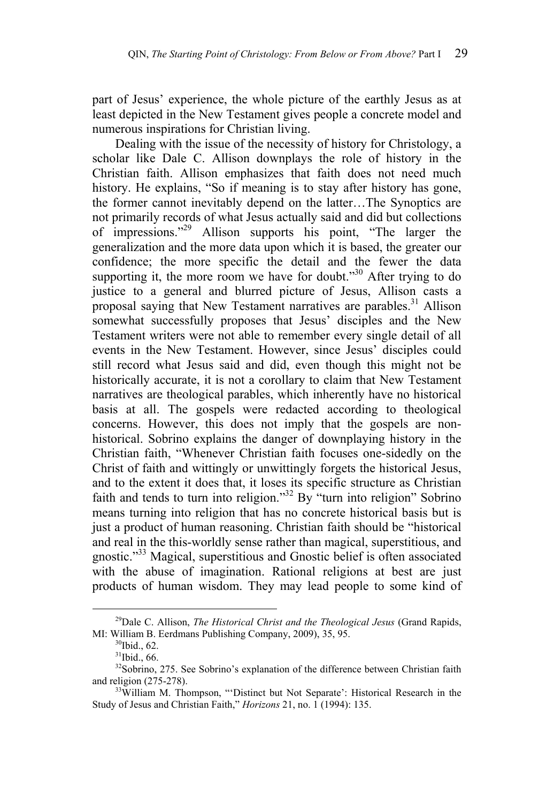part of Jesus' experience, the whole picture of the earthly Jesus as at least depicted in the New Testament gives people a concrete model and numerous inspirations for Christian living.

Dealing with the issue of the necessity of history for Christology, a scholar like Dale C. Allison downplays the role of history in the Christian faith. Allison emphasizes that faith does not need much history. He explains, "So if meaning is to stay after history has gone, the former cannot inevitably depend on the latter…The Synoptics are not primarily records of what Jesus actually said and did but collections of impressions."29 Allison supports his point, "The larger the generalization and the more data upon which it is based, the greater our confidence; the more specific the detail and the fewer the data supporting it, the more room we have for doubt. $130$  After trying to do justice to a general and blurred picture of Jesus, Allison casts a proposal saying that New Testament narratives are parables.<sup>31</sup> Allison somewhat successfully proposes that Jesus' disciples and the New Testament writers were not able to remember every single detail of all events in the New Testament. However, since Jesus' disciples could still record what Jesus said and did, even though this might not be historically accurate, it is not a corollary to claim that New Testament narratives are theological parables, which inherently have no historical basis at all. The gospels were redacted according to theological concerns. However, this does not imply that the gospels are nonhistorical. Sobrino explains the danger of downplaying history in the Christian faith, "Whenever Christian faith focuses one-sidedly on the Christ of faith and wittingly or unwittingly forgets the historical Jesus, and to the extent it does that, it loses its specific structure as Christian faith and tends to turn into religion."32 By "turn into religion" Sobrino means turning into religion that has no concrete historical basis but is just a product of human reasoning. Christian faith should be "historical and real in the this-worldly sense rather than magical, superstitious, and gnostic."33 Magical, superstitious and Gnostic belief is often associated with the abuse of imagination. Rational religions at best are just products of human wisdom. They may lead people to some kind of

 <sup>29</sup>Dale C. Allison, *The Historical Christ and the Theological Jesus* (Grand Rapids, MI: William B. Eerdmans Publishing Company, 2009), 35, 95. <sup>30</sup>Ibid., 62.

 $31$ Ibid., 66.

<sup>&</sup>lt;sup>32</sup>Sobrino, 275. See Sobrino's explanation of the difference between Christian faith and religion (275-278).<br><sup>33</sup>William M. Thompson, "'Distinct but Not Separate': Historical Research in the

Study of Jesus and Christian Faith," *Horizons* 21, no. 1 (1994): 135.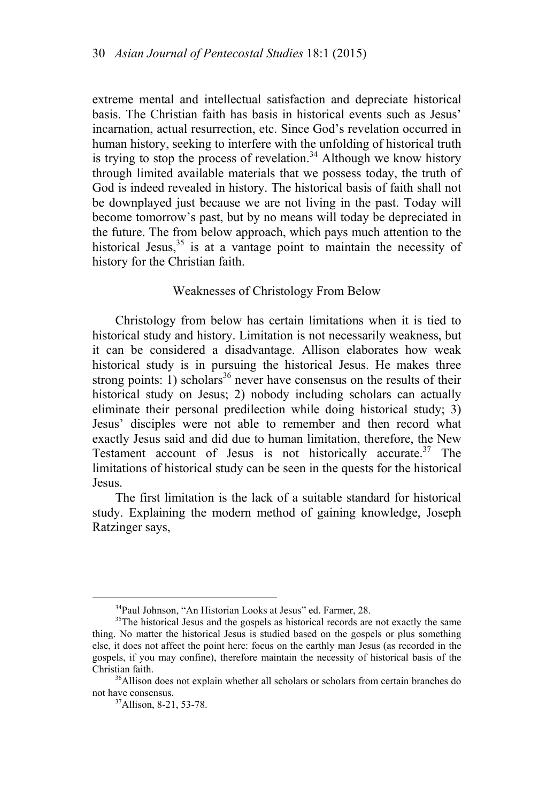extreme mental and intellectual satisfaction and depreciate historical basis. The Christian faith has basis in historical events such as Jesus' incarnation, actual resurrection, etc. Since God's revelation occurred in human history, seeking to interfere with the unfolding of historical truth is trying to stop the process of revelation.<sup>34</sup> Although we know history through limited available materials that we possess today, the truth of God is indeed revealed in history. The historical basis of faith shall not be downplayed just because we are not living in the past. Today will become tomorrow's past, but by no means will today be depreciated in the future. The from below approach, which pays much attention to the historical Jesus, $35$  is at a vantage point to maintain the necessity of history for the Christian faith.

#### Weaknesses of Christology From Below

Christology from below has certain limitations when it is tied to historical study and history. Limitation is not necessarily weakness, but it can be considered a disadvantage. Allison elaborates how weak historical study is in pursuing the historical Jesus. He makes three strong points: 1) scholars<sup>36</sup> never have consensus on the results of their historical study on Jesus; 2) nobody including scholars can actually eliminate their personal predilection while doing historical study; 3) Jesus' disciples were not able to remember and then record what exactly Jesus said and did due to human limitation, therefore, the New Testament account of Jesus is not historically accurate.<sup>37</sup> The limitations of historical study can be seen in the quests for the historical Jesus.

The first limitation is the lack of a suitable standard for historical study. Explaining the modern method of gaining knowledge, Joseph Ratzinger says,

 $34P$ Paul Johnson, "An Historian Looks at Jesus" ed. Farmer, 28.  $35$ The historical Jesus and the gospels as historical records are not exactly the same thing. No matter the historical Jesus is studied based on the gospels or plus something else, it does not affect the point here: focus on the earthly man Jesus (as recorded in the gospels, if you may confine), therefore maintain the necessity of historical basis of the Christian faith. 36Allison does not explain whether all scholars or scholars from certain branches do

not have consensus.<br><sup>37</sup>Allison, 8-21, 53-78.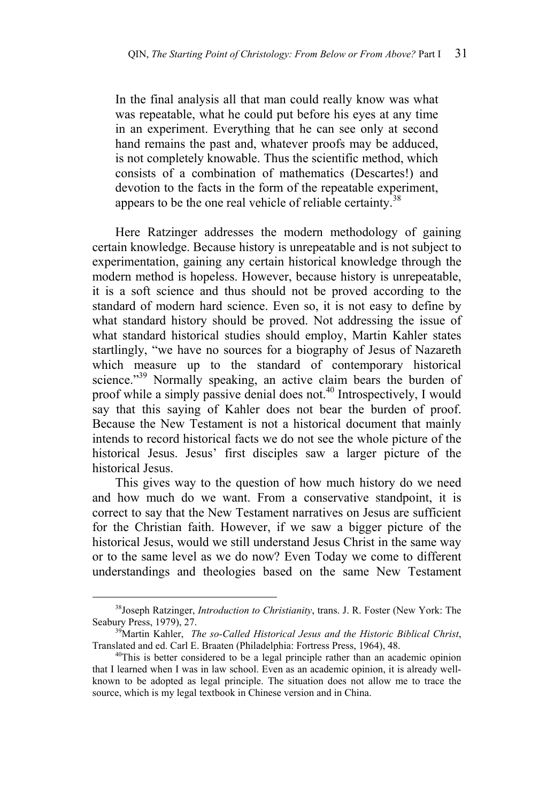In the final analysis all that man could really know was what was repeatable, what he could put before his eyes at any time in an experiment. Everything that he can see only at second hand remains the past and, whatever proofs may be adduced, is not completely knowable. Thus the scientific method, which consists of a combination of mathematics (Descartes!) and devotion to the facts in the form of the repeatable experiment, appears to be the one real vehicle of reliable certainty.<sup>38</sup>

Here Ratzinger addresses the modern methodology of gaining certain knowledge. Because history is unrepeatable and is not subject to experimentation, gaining any certain historical knowledge through the modern method is hopeless. However, because history is unrepeatable, it is a soft science and thus should not be proved according to the standard of modern hard science. Even so, it is not easy to define by what standard history should be proved. Not addressing the issue of what standard historical studies should employ, Martin Kahler states startlingly, "we have no sources for a biography of Jesus of Nazareth which measure up to the standard of contemporary historical science."<sup>39</sup> Normally speaking, an active claim bears the burden of proof while a simply passive denial does not.<sup>40</sup> Introspectively, I would say that this saying of Kahler does not bear the burden of proof. Because the New Testament is not a historical document that mainly intends to record historical facts we do not see the whole picture of the historical Jesus. Jesus' first disciples saw a larger picture of the historical Jesus.

This gives way to the question of how much history do we need and how much do we want. From a conservative standpoint, it is correct to say that the New Testament narratives on Jesus are sufficient for the Christian faith. However, if we saw a bigger picture of the historical Jesus, would we still understand Jesus Christ in the same way or to the same level as we do now? Even Today we come to different understandings and theologies based on the same New Testament

<sup>&</sup>lt;sup>38</sup>Joseph Ratzinger, *Introduction to Christianity*, trans. J. R. Foster (New York: The Seabury Press, 1979), 27.

<sup>&</sup>lt;sup>39</sup>Martin Kahler, *The so-Called Historical Jesus and the Historic Biblical Christ*, Translated and ed. Carl E. Braaten (Philadelphia: Fortress Press, 1964), 48.<br><sup>40</sup>This is better considered to be a legal principle rather than an academic opinion

that I learned when I was in law school. Even as an academic opinion, it is already wellknown to be adopted as legal principle. The situation does not allow me to trace the source, which is my legal textbook in Chinese version and in China.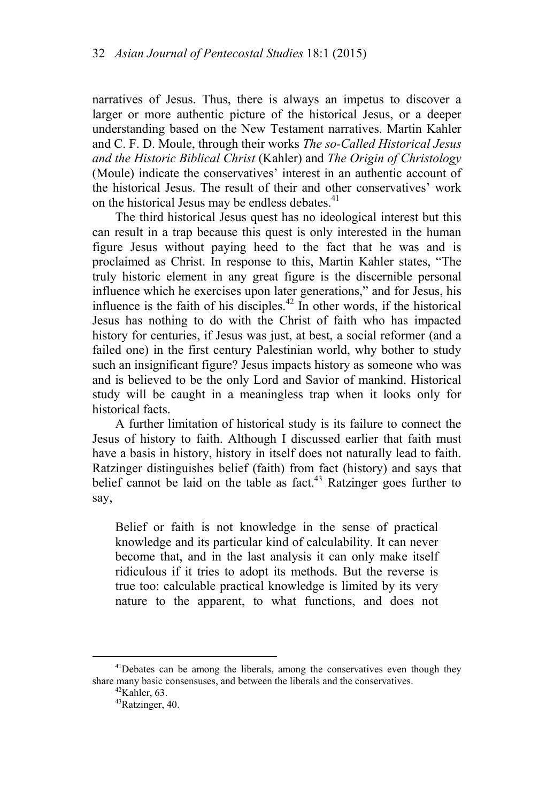narratives of Jesus. Thus, there is always an impetus to discover a larger or more authentic picture of the historical Jesus, or a deeper understanding based on the New Testament narratives. Martin Kahler and C. F. D. Moule, through their works *The so-Called Historical Jesus and the Historic Biblical Christ* (Kahler) and *The Origin of Christology*  (Moule) indicate the conservatives' interest in an authentic account of the historical Jesus. The result of their and other conservatives' work on the historical Jesus may be endless debates. $41$ 

The third historical Jesus quest has no ideological interest but this can result in a trap because this quest is only interested in the human figure Jesus without paying heed to the fact that he was and is proclaimed as Christ. In response to this, Martin Kahler states, "The truly historic element in any great figure is the discernible personal influence which he exercises upon later generations," and for Jesus, his influence is the faith of his disciples.<sup>42</sup> In other words, if the historical Jesus has nothing to do with the Christ of faith who has impacted history for centuries, if Jesus was just, at best, a social reformer (and a failed one) in the first century Palestinian world, why bother to study such an insignificant figure? Jesus impacts history as someone who was and is believed to be the only Lord and Savior of mankind. Historical study will be caught in a meaningless trap when it looks only for historical facts.

A further limitation of historical study is its failure to connect the Jesus of history to faith. Although I discussed earlier that faith must have a basis in history, history in itself does not naturally lead to faith. Ratzinger distinguishes belief (faith) from fact (history) and says that belief cannot be laid on the table as fact.<sup>43</sup> Ratzinger goes further to say,

Belief or faith is not knowledge in the sense of practical knowledge and its particular kind of calculability. It can never become that, and in the last analysis it can only make itself ridiculous if it tries to adopt its methods. But the reverse is true too: calculable practical knowledge is limited by its very nature to the apparent, to what functions, and does not

<sup>&</sup>lt;sup>41</sup>Debates can be among the liberals, among the conservatives even though they share many basic consensuses, and between the liberals and the conservatives.  $\frac{42}{4}$ Kahler, 63.

<sup>43</sup>Ratzinger, 40.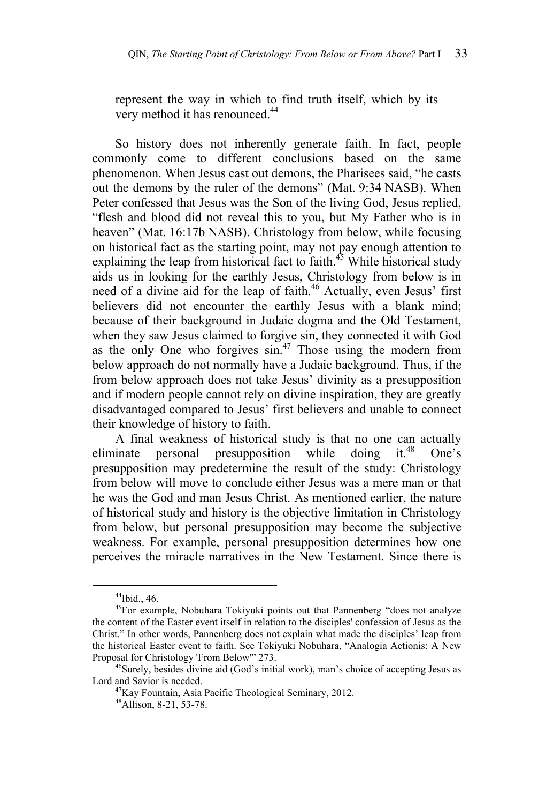represent the way in which to find truth itself, which by its very method it has renounced.<sup>44</sup>

So history does not inherently generate faith. In fact, people commonly come to different conclusions based on the same phenomenon. When Jesus cast out demons, the Pharisees said, "he casts out the demons by the ruler of the demons" (Mat. 9:34 NASB). When Peter confessed that Jesus was the Son of the living God, Jesus replied, "flesh and blood did not reveal this to you, but My Father who is in heaven" (Mat. 16:17b NASB). Christology from below, while focusing on historical fact as the starting point, may not pay enough attention to explaining the leap from historical fact to faith.<sup>45</sup> While historical study aids us in looking for the earthly Jesus, Christology from below is in need of a divine aid for the leap of faith.<sup>46</sup> Actually, even Jesus' first believers did not encounter the earthly Jesus with a blank mind; because of their background in Judaic dogma and the Old Testament, when they saw Jesus claimed to forgive sin, they connected it with God as the only One who forgives  $\sin^{47}$ . Those using the modern from below approach do not normally have a Judaic background. Thus, if the from below approach does not take Jesus' divinity as a presupposition and if modern people cannot rely on divine inspiration, they are greatly disadvantaged compared to Jesus' first believers and unable to connect their knowledge of history to faith.

A final weakness of historical study is that no one can actually eliminate personal presupposition while doing it. $48$  One's presupposition may predetermine the result of the study: Christology from below will move to conclude either Jesus was a mere man or that he was the God and man Jesus Christ. As mentioned earlier, the nature of historical study and history is the objective limitation in Christology from below, but personal presupposition may become the subjective weakness. For example, personal presupposition determines how one perceives the miracle narratives in the New Testament. Since there is

 <sup>44</sup>Ibid., 46.

<sup>&</sup>lt;sup>45</sup>For example, Nobuhara Tokiyuki points out that Pannenberg "does not analyze the content of the Easter event itself in relation to the disciples' confession of Jesus as the Christ." In other words, Pannenberg does not explain what made the disciples' leap from the historical Easter event to faith. See Tokiyuki Nobuhara, "Analogía Actionis: A New

<sup>&</sup>lt;sup>46</sup>Surely, besides divine aid (God's initial work), man's choice of accepting Jesus as Lord and Savior is needed.<br><sup>47</sup>Kay Fountain, Asia Pacific Theological Seminary, 2012.

<sup>48</sup>Allison, 8-21, 53-78.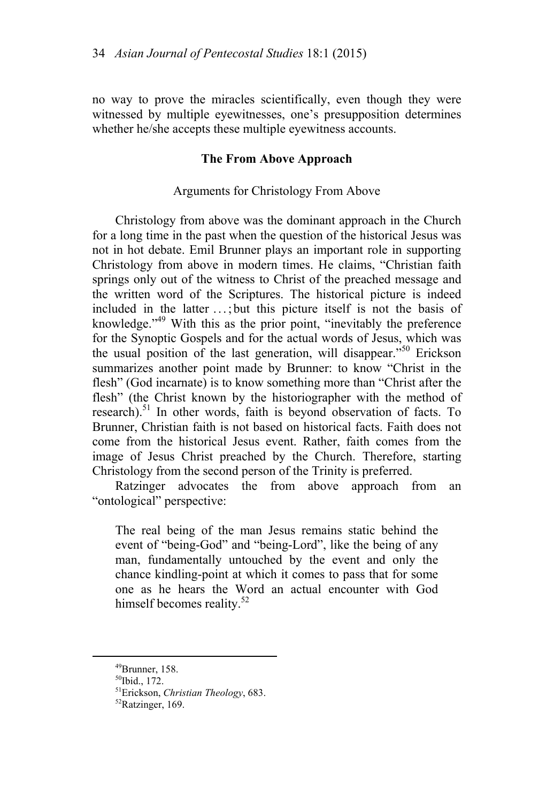no way to prove the miracles scientifically, even though they were witnessed by multiple eyewitnesses, one's presupposition determines whether he/she accepts these multiple eyewitness accounts.

## **The From Above Approach**

# Arguments for Christology From Above

Christology from above was the dominant approach in the Church for a long time in the past when the question of the historical Jesus was not in hot debate. Emil Brunner plays an important role in supporting Christology from above in modern times. He claims, "Christian faith springs only out of the witness to Christ of the preached message and the written word of the Scriptures. The historical picture is indeed included in the latter . . . ; but this picture itself is not the basis of knowledge."<sup>49</sup> With this as the prior point, "inevitably the preference for the Synoptic Gospels and for the actual words of Jesus, which was the usual position of the last generation, will disappear."50 Erickson summarizes another point made by Brunner: to know "Christ in the flesh" (God incarnate) is to know something more than "Christ after the flesh" (the Christ known by the historiographer with the method of research).<sup>51</sup> In other words, faith is beyond observation of facts. To Brunner, Christian faith is not based on historical facts. Faith does not come from the historical Jesus event. Rather, faith comes from the image of Jesus Christ preached by the Church. Therefore, starting Christology from the second person of the Trinity is preferred.

Ratzinger advocates the from above approach from an "ontological" perspective:

The real being of the man Jesus remains static behind the event of "being-God" and "being-Lord", like the being of any man, fundamentally untouched by the event and only the chance kindling-point at which it comes to pass that for some one as he hears the Word an actual encounter with God himself becomes reality.<sup>52</sup>

 <sup>49</sup>Brunner, 158.

 $50$ Ibid., 172.

<sup>&</sup>lt;sup>51</sup>Erickson, *Christian Theology*, 683.<br><sup>52</sup>Ratzinger, 169.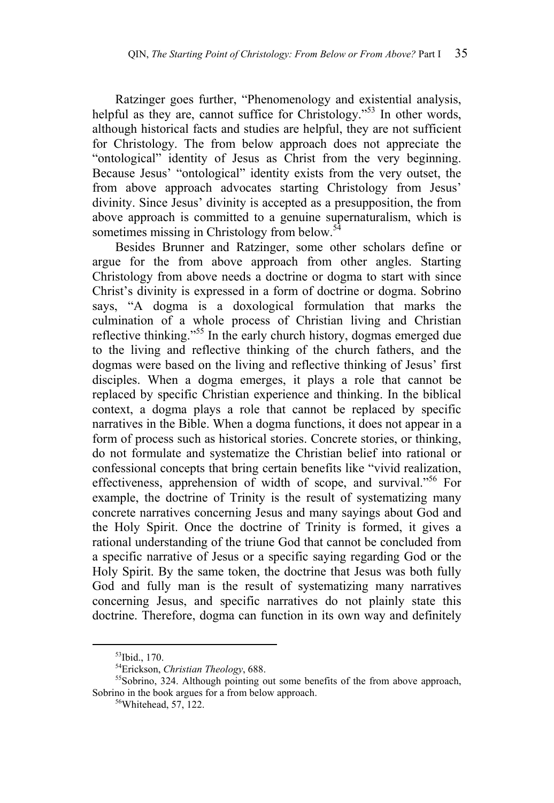Ratzinger goes further, "Phenomenology and existential analysis, helpful as they are, cannot suffice for Christology."<sup>53</sup> In other words, although historical facts and studies are helpful, they are not sufficient for Christology. The from below approach does not appreciate the "ontological" identity of Jesus as Christ from the very beginning. Because Jesus' "ontological" identity exists from the very outset, the from above approach advocates starting Christology from Jesus' divinity. Since Jesus' divinity is accepted as a presupposition, the from above approach is committed to a genuine supernaturalism, which is sometimes missing in Christology from below.<sup>54</sup>

Besides Brunner and Ratzinger, some other scholars define or argue for the from above approach from other angles. Starting Christology from above needs a doctrine or dogma to start with since Christ's divinity is expressed in a form of doctrine or dogma. Sobrino says, "A dogma is a doxological formulation that marks the culmination of a whole process of Christian living and Christian reflective thinking."<sup>55</sup> In the early church history, dogmas emerged due to the living and reflective thinking of the church fathers, and the dogmas were based on the living and reflective thinking of Jesus' first disciples. When a dogma emerges, it plays a role that cannot be replaced by specific Christian experience and thinking. In the biblical context, a dogma plays a role that cannot be replaced by specific narratives in the Bible. When a dogma functions, it does not appear in a form of process such as historical stories. Concrete stories, or thinking, do not formulate and systematize the Christian belief into rational or confessional concepts that bring certain benefits like "vivid realization, effectiveness, apprehension of width of scope, and survival."<sup>56</sup> For example, the doctrine of Trinity is the result of systematizing many concrete narratives concerning Jesus and many sayings about God and the Holy Spirit. Once the doctrine of Trinity is formed, it gives a rational understanding of the triune God that cannot be concluded from a specific narrative of Jesus or a specific saying regarding God or the Holy Spirit. By the same token, the doctrine that Jesus was both fully God and fully man is the result of systematizing many narratives concerning Jesus, and specific narratives do not plainly state this doctrine. Therefore, dogma can function in its own way and definitely

<sup>&</sup>lt;sup>53</sup>Ibid., 170.<br><sup>54</sup>Erickson, *Christian Theology*, 688.

<sup>&</sup>lt;sup>55</sup>Sobrino, 324. Although pointing out some benefits of the from above approach, Sobrino in the book argues for a from below approach.<br><sup>56</sup>Whitehead, 57, 122.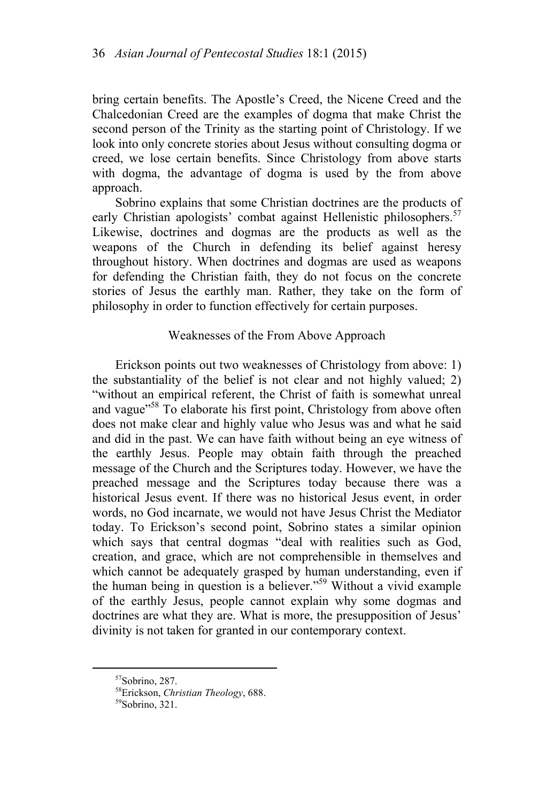bring certain benefits. The Apostle's Creed, the Nicene Creed and the Chalcedonian Creed are the examples of dogma that make Christ the second person of the Trinity as the starting point of Christology. If we look into only concrete stories about Jesus without consulting dogma or creed, we lose certain benefits. Since Christology from above starts with dogma, the advantage of dogma is used by the from above approach.

Sobrino explains that some Christian doctrines are the products of early Christian apologists' combat against Hellenistic philosophers.<sup>57</sup> Likewise, doctrines and dogmas are the products as well as the weapons of the Church in defending its belief against heresy throughout history. When doctrines and dogmas are used as weapons for defending the Christian faith, they do not focus on the concrete stories of Jesus the earthly man. Rather, they take on the form of philosophy in order to function effectively for certain purposes.

### Weaknesses of the From Above Approach

Erickson points out two weaknesses of Christology from above: 1) the substantiality of the belief is not clear and not highly valued; 2) "without an empirical referent, the Christ of faith is somewhat unreal and vague<sup>"58</sup> To elaborate his first point, Christology from above often does not make clear and highly value who Jesus was and what he said and did in the past. We can have faith without being an eye witness of the earthly Jesus. People may obtain faith through the preached message of the Church and the Scriptures today. However, we have the preached message and the Scriptures today because there was a historical Jesus event. If there was no historical Jesus event, in order words, no God incarnate, we would not have Jesus Christ the Mediator today. To Erickson's second point, Sobrino states a similar opinion which says that central dogmas "deal with realities such as God, creation, and grace, which are not comprehensible in themselves and which cannot be adequately grasped by human understanding, even if the human being in question is a believer."59 Without a vivid example of the earthly Jesus, people cannot explain why some dogmas and doctrines are what they are. What is more, the presupposition of Jesus' divinity is not taken for granted in our contemporary context.

 <sup>57</sup>Sobrino, 287.

<sup>&</sup>lt;sup>58</sup>Erickson, *Christian Theology*, 688.<br><sup>59</sup>Sobrino, 321.